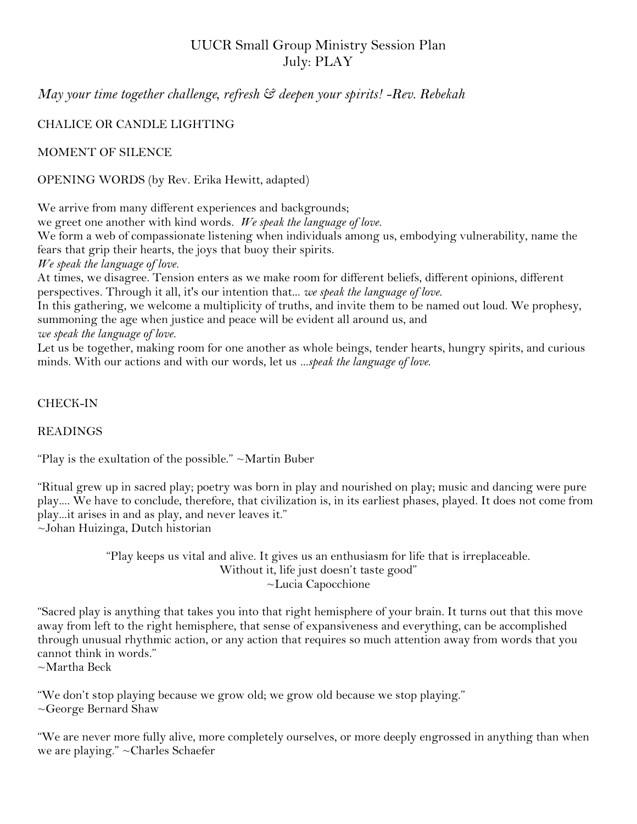# UUCR Small Group Ministry Session Plan July: PLAY

*May your time together challenge, refresh & deepen your spirits! -Rev. Rebekah*

# CHALICE OR CANDLE LIGHTING

MOMENT OF SILENCE

OPENING WORDS (by Rev. Erika Hewitt, adapted)

We arrive from many different experiences and backgrounds;

we greet one another with kind words. *We speak the language of love.*

We form a web of compassionate listening when individuals among us, embodying vulnerability, name the fears that grip their hearts, the joys that buoy their spirits.

*We speak the language of love.*

At times, we disagree. Tension enters as we make room for different beliefs, different opinions, different perspectives. Through it all, it's our intention that... *we speak the language of love.*

In this gathering, we welcome a multiplicity of truths, and invite them to be named out loud. We prophesy, summoning the age when justice and peace will be evident all around us, and *we speak the language of love.*

Let us be together, making room for one another as whole beings, tender hearts, hungry spirits, and curious minds. With our actions and with our words, let us *...speak the language of love*.

## CHECK-IN

### READINGS

"Play is the exultation of the possible."  $\sim$ Martin Buber

"Ritual grew up in sacred play; poetry was born in play and nourished on play; music and dancing were pure play.... We have to conclude, therefore, that civilization is, in its earliest phases, played. It does not come from play...it arises in and as play, and never leaves it." ~Johan Huizinga, Dutch historian

> "Play keeps us vital and alive. It gives us an enthusiasm for life that is irreplaceable. Without it, life just doesn't taste good" ~Lucia Capocchione

"Sacred play is anything that takes you into that right hemisphere of your brain. It turns out that this move away from left to the right hemisphere, that sense of expansiveness and everything, can be accomplished through unusual rhythmic action, or any action that requires so much attention away from words that you cannot think in words."

 $\sim$ Martha Beck

"We don't stop playing because we grow old; we grow old because we stop playing." ~George Bernard Shaw

"We are never more fully alive, more completely ourselves, or more deeply engrossed in anything than when we are playing." ~Charles Schaefer